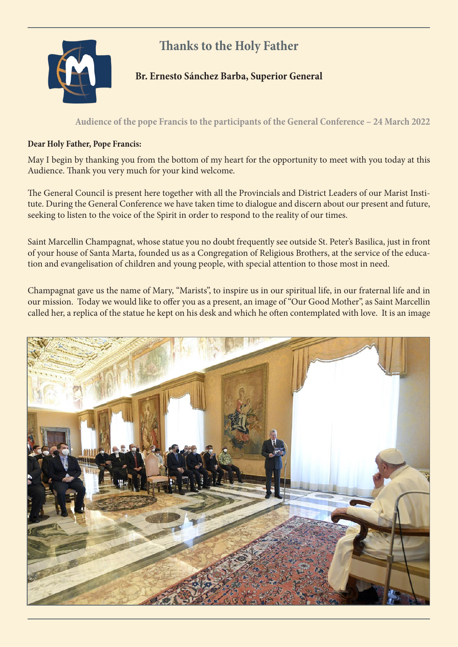## **Thanks to the Holy Father**



## **Br. Ernesto Sánchez Barba, Superior General**

## **Audience of the pope Francis to the participants of the General Conference – 24 March 2022**

## **Dear Holy Father, Pope Francis:**

May I begin by thanking you from the bottom of my heart for the opportunity to meet with you today at this Audience. Thank you very much for your kind welcome.

The General Council is present here together with all the Provincials and District Leaders of our Marist Institute. During the General Conference we have taken time to dialogue and discern about our present and future, seeking to listen to the voice of the Spirit in order to respond to the reality of our times.

Saint Marcellin Champagnat, whose statue you no doubt frequently see outside St. Peter's Basilica, just in front of your house of Santa Marta, founded us as a Congregation of Religious Brothers, at the service of the education and evangelisation of children and young people, with special attention to those most in need.

Champagnat gave us the name of Mary, "Marists", to inspire us in our spiritual life, in our fraternal life and in our mission. Today we would like to offer you as a present, an image of "Our Good Mother", as Saint Marcellin called her, a replica of the statue he kept on his desk and which he often contemplated with love. It is an image